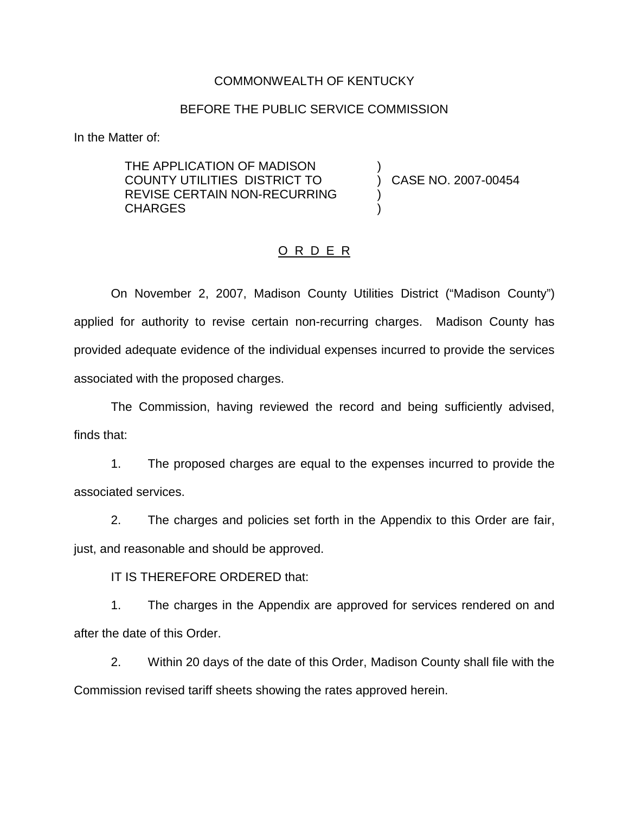## COMMONWEALTH OF KENTUCKY

#### BEFORE THE PUBLIC SERVICE COMMISSION

)

) )

In the Matter of:

THE APPLICATION OF MADISON COUNTY UTILITIES DISTRICT TO REVISE CERTAIN NON-RECURRING **CHARGES** 

) CASE NO. 2007-00454

#### O R D E R

On November 2, 2007, Madison County Utilities District ("Madison County") applied for authority to revise certain non-recurring charges. Madison County has provided adequate evidence of the individual expenses incurred to provide the services associated with the proposed charges.

The Commission, having reviewed the record and being sufficiently advised, finds that:

1. The proposed charges are equal to the expenses incurred to provide the associated services.

2. The charges and policies set forth in the Appendix to this Order are fair, just, and reasonable and should be approved.

IT IS THEREFORE ORDERED that:

1. The charges in the Appendix are approved for services rendered on and after the date of this Order.

2. Within 20 days of the date of this Order, Madison County shall file with the Commission revised tariff sheets showing the rates approved herein.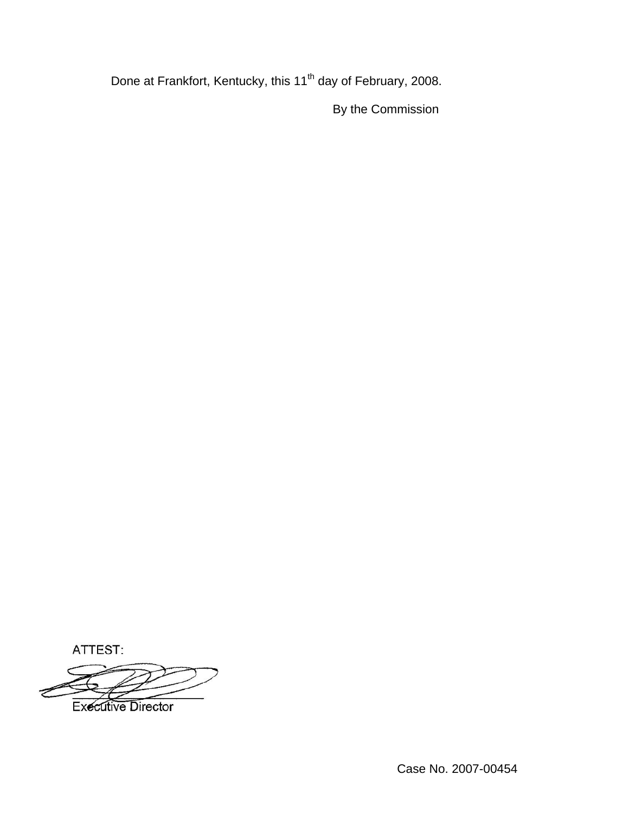Done at Frankfort, Kentucky, this 11<sup>th</sup> day of February, 2008.

By the Commission

ATTEST:

**Executive Director**